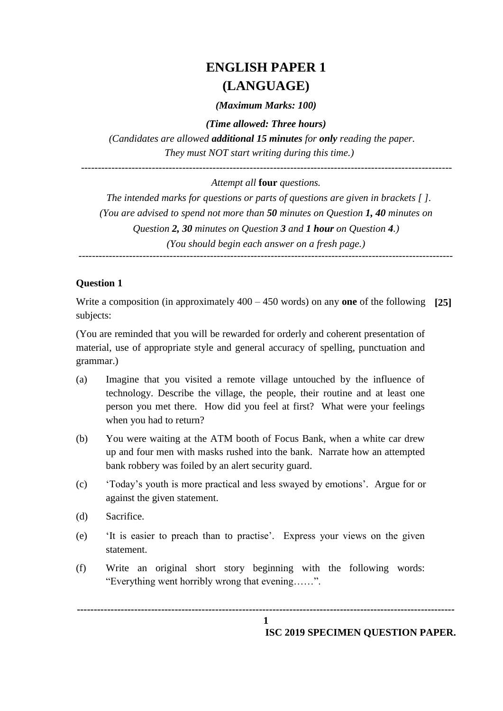# **ENGLISH PAPER 1 (LANGUAGE)**

*(Maximum Marks: 100)*

*(Time allowed: Three hours)*

*(Candidates are allowed additional 15 minutes for only reading the paper. They must NOT start writing during this time.)*

 *--------------------------------------------------------------------------------------------------------------*

#### *Attempt all* **four** *questions.*

*The intended marks for questions or parts of questions are given in brackets [ ]. (You are advised to spend not more than 50 minutes on Question 1, 40 minutes on Question 2, 30 minutes on Question 3 and 1 hour on Question 4.) (You should begin each answer on a fresh page.)*

*---------------------------------------------------------------------------------------------------------------*

#### **Question 1**

Write a composition (in approximately 400 – 450 words) on any **one** of the following **[25]** subjects:

(You are reminded that you will be rewarded for orderly and coherent presentation of material, use of appropriate style and general accuracy of spelling, punctuation and grammar.)

- (a) Imagine that you visited a remote village untouched by the influence of technology. Describe the village, the people, their routine and at least one person you met there. How did you feel at first? What were your feelings when you had to return?
- (b) You were waiting at the ATM booth of Focus Bank, when a white car drew up and four men with masks rushed into the bank. Narrate how an attempted bank robbery was foiled by an alert security guard.
- (c) "Today"s youth is more practical and less swayed by emotions". Argue for or against the given statement.
- (d) Sacrifice.
- (e) "It is easier to preach than to practise". Express your views on the given statement.
- (f) Write an original short story beginning with the following words: "Everything went horribly wrong that evening……".

**----------------------------------------------------------------------------------------------------------------**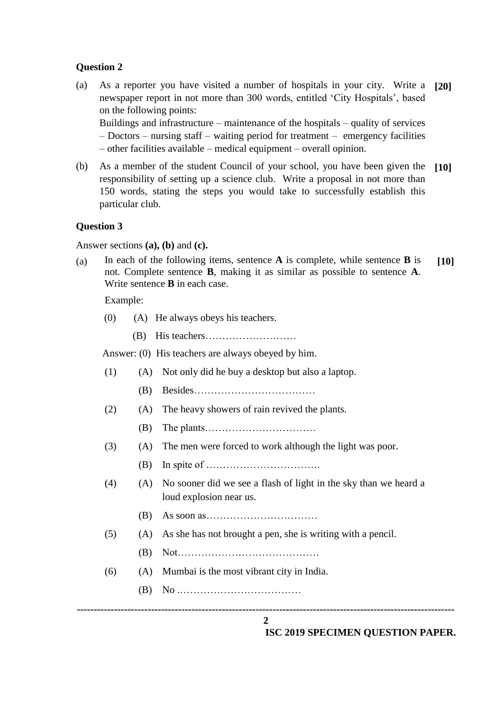#### **Question 2**

(a) As a reporter you have visited a number of hospitals in your city. Write a **[20]** newspaper report in not more than 300 words, entitled "City Hospitals", based on the following points:

Buildings and infrastructure – maintenance of the hospitals – quality of services – Doctors – nursing staff – waiting period for treatment – emergency facilities – other facilities available – medical equipment – overall opinion.

(b) As a member of the student Council of your school, you have been given the **[10]** responsibility of setting up a science club. Write a proposal in not more than 150 words, stating the steps you would take to successfully establish this particular club.

#### **Question 3**

Answer sections **(a), (b)** and **(c).**

(a) In each of the following items, sentence **A** is complete, while sentence **B** is not. Complete sentence **B**, making it as similar as possible to sentence **A**. Write sentence **B** in each case. **[10]**

Example:

- (0) (A) He always obeys his teachers.
	- (B) His teachers………………………

Answer: (0) His teachers are always obeyed by him.

**---------------------------------------------------------------------------------------------------------------- 2** (1) (A) Not only did he buy a desktop but also a laptop. (B) Besides……………………………… (2) (A) The heavy showers of rain revived the plants. (B) The plants…………………………… (3) (A) The men were forced to work although the light was poor. (B) In spite of ……………………………. (4) (A) No sooner did we see a flash of light in the sky than we heard a loud explosion near us. (B) As soon as…………………………… (5) (A) As she has not brought a pen, she is writing with a pencil. (B) Not…………………………………… (6) (A) Mumbai is the most vibrant city in India. (B) No .………………………………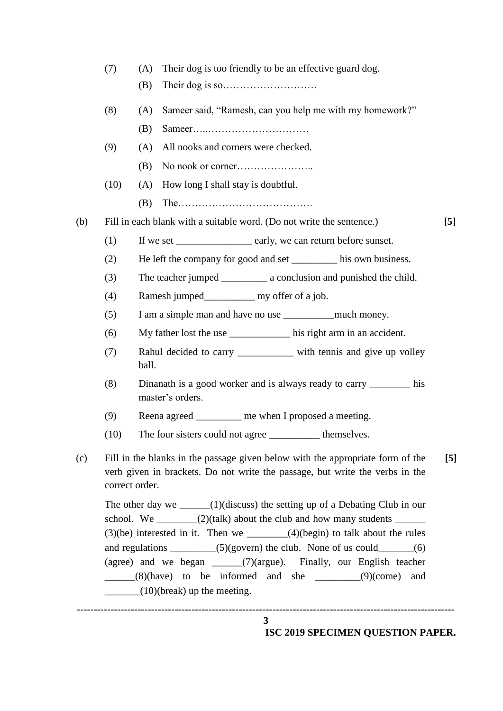| (7) | Their dog is too friendly to be an effective guard dog. |  |  |
|-----|---------------------------------------------------------|--|--|
|     |                                                         |  |  |

- (B) Their dog is so……………………….
- (8) (A) Sameer said, "Ramesh, can you help me with my homework?"
	- (B) Sameer…..…………………………
- (9) (A) All nooks and corners were checked.
	- (B) No nook or corner…………………..
- (10) (A) How long I shall stay is doubtful.
	- (B) The………………………………….

(b) Fill in each blank with a suitable word. (Do not write the sentence.) **[5]**

- 
- (1) If we set early, we can return before sunset.
- (2) He left the company for good and set his own business.
- (3) The teacher jumped \_\_\_\_\_\_\_\_\_ a conclusion and punished the child.
- (4) Ramesh jumped\_\_\_\_\_\_\_\_\_\_ my offer of a job.
- (5) I am a simple man and have no use \_\_\_\_\_\_\_\_\_\_much money.
- (6) My father lost the use \_\_\_\_\_\_\_\_\_\_\_\_ his right arm in an accident.
- (7) Rahul decided to carry \_\_\_\_\_\_\_\_\_\_\_ with tennis and give up volley ball.
- (8) Dinanath is a good worker and is always ready to carry \_\_\_\_\_\_\_\_ his master's orders.
- (9) Reena agreed me when I proposed a meeting.
- (10) The four sisters could not agree \_\_\_\_\_\_\_\_\_\_ themselves.
- (c) Fill in the blanks in the passage given below with the appropriate form of the verb given in brackets. Do not write the passage, but write the verbs in the correct order. **[5]**

The other day we  $\qquad \qquad \qquad (1)$ (discuss) the setting up of a Debating Club in our school. We  $\frac{1}{2}$  (2)(talk) about the club and how many students  $\frac{1}{2}$  $(3)(be)$  interested in it. Then we  $(4)(begin)$  to talk about the rules and regulations  $\_\_\_\_\_ (5)(\text{govern})$  the club. None of us could  $\_\_\_\_\_ (6)$ (agree) and we began \_\_\_\_\_\_(7)(argue). Finally, our English teacher  $\frac{1}{2}$  (8)(have) to be informed and she  $\frac{1}{2}$  (9)(come) and  $(10)$ (break) up the meeting.

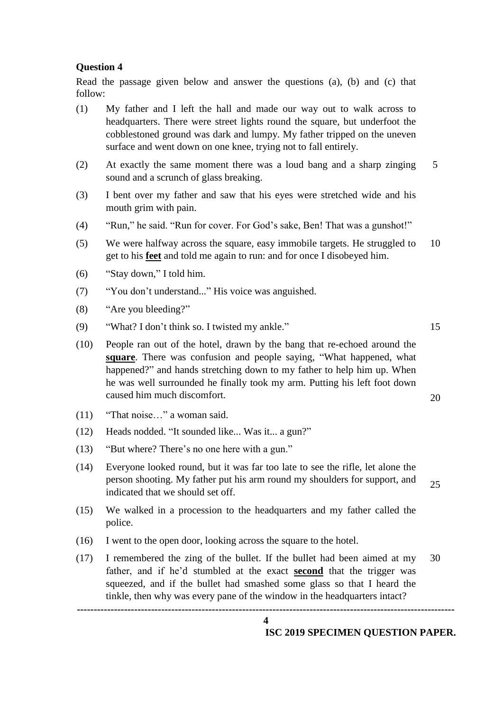#### **Question 4**

Read the passage given below and answer the questions (a), (b) and (c) that follow:

- (1) My father and I left the hall and made our way out to walk across to headquarters. There were street lights round the square, but underfoot the cobblestoned ground was dark and lumpy. My father tripped on the uneven surface and went down on one knee, trying not to fall entirely.
- (2) At exactly the same moment there was a loud bang and a sharp zinging sound and a scrunch of glass breaking. 5
- (3) I bent over my father and saw that his eyes were stretched wide and his mouth grim with pain.
- (4) "Run," he said. "Run for cover. For God"s sake, Ben! That was a gunshot!"
- (5) We were halfway across the square, easy immobile targets. He struggled to get to his **feet** and told me again to run: and for once I disobeyed him. 10
- (6) "Stay down," I told him.
- (7) "You don"t understand..." His voice was anguished.
- (8) "Are you bleeding?"
- (9) "What? I don"t think so. I twisted my ankle." 15
- (10) People ran out of the hotel, drawn by the bang that re-echoed around the **square**. There was confusion and people saying, "What happened, what happened?" and hands stretching down to my father to help him up. When he was well surrounded he finally took my arm. Putting his left foot down caused him much discomfort.
- (11) "That noise…" a woman said.
- (12) Heads nodded. "It sounded like... Was it... a gun?"
- (13) "But where? There"s no one here with a gun."
- (14) Everyone looked round, but it was far too late to see the rifle, let alone the person shooting. My father put his arm round my shoulders for support, and indicated that we should set off. 25
- (15) We walked in a procession to the headquarters and my father called the police.
- (16) I went to the open door, looking across the square to the hotel.
- **----------------------------------------------------------------------------------------------------------------** (17) I remembered the zing of the bullet. If the bullet had been aimed at my father, and if he"d stumbled at the exact **second** that the trigger was squeezed, and if the bullet had smashed some glass so that I heard the tinkle, then why was every pane of the window in the headquarters intact? 30

**4**

**ISC 2019 SPECIMEN QUESTION PAPER.** 

20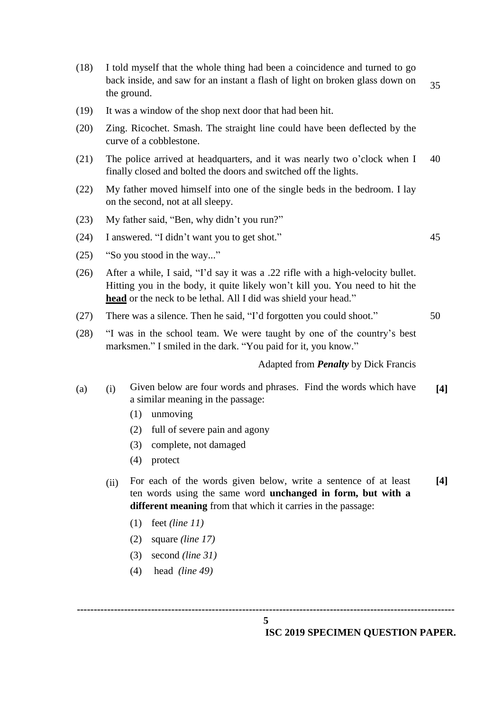**---------------------------------------------------------------------------------------------------------------- 5** (18) I told myself that the whole thing had been a coincidence and turned to go back inside, and saw for an instant a flash of light on broken glass down on the ground. 35 (19) It was a window of the shop next door that had been hit. (20) Zing. Ricochet. Smash. The straight line could have been deflected by the curve of a cobblestone. (21) The police arrived at headquarters, and it was nearly two o"clock when I finally closed and bolted the doors and switched off the lights. 40 (22) My father moved himself into one of the single beds in the bedroom. I lay on the second, not at all sleepy. (23) My father said, "Ben, why didn"t you run?" (24) I answered. "I didn"t want you to get shot." 45 (25) "So you stood in the way..." (26) After a while, I said, "I"d say it was a .22 rifle with a high-velocity bullet. Hitting you in the body, it quite likely won"t kill you. You need to hit the **head** or the neck to be lethal. All I did was shield your head." (27) There was a silence. Then he said, "I"d forgotten you could shoot." 50 (28) "I was in the school team. We were taught by one of the country"s best marksmen." I smiled in the dark. "You paid for it, you know." Adapted from *Penalty* by Dick Francis (a) (i) Given below are four words and phrases. Find the words which have a similar meaning in the passage: **[4]** (1) unmoving (2) full of severe pain and agony (3) complete, not damaged (4) protect (ii) For each of the words given below, write a sentence of at least ten words using the same word **unchanged in form, but with a different meaning** from that which it carries in the passage: **[4]** (1) feet *(line 11)* (2) square *(line 17)* (3) second *(line 31)* (4) head *(line 49)*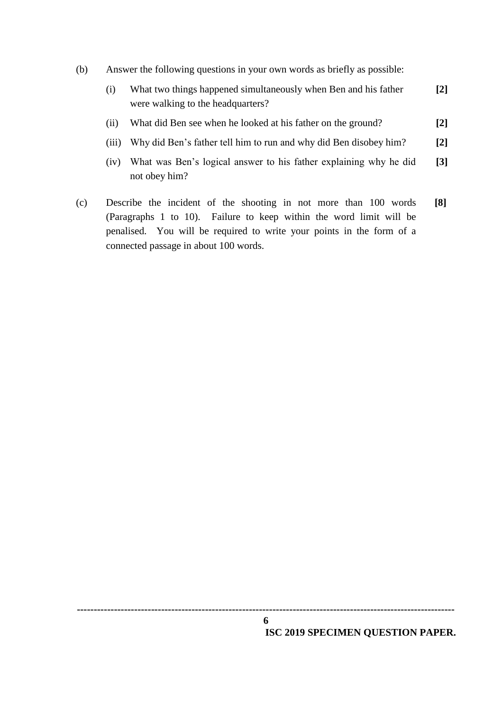(b) Answer the following questions in your own words as briefly as possible:

| What two things happened simultaneously when Ben and his father | $\lceil 2 \rceil$ |
|-----------------------------------------------------------------|-------------------|
| were walking to the headquarters?                               |                   |

- (ii) What did Ben see when he looked at his father on the ground? **[2]**
- (iii) Why did Ben"s father tell him to run and why did Ben disobey him? **[2]**
- (iv) What was Ben"s logical answer to his father explaining why he did not obey him? **[3]**
- (c) Describe the incident of the shooting in not more than 100 words (Paragraphs 1 to 10). Failure to keep within the word limit will be penalised. You will be required to write your points in the form of a connected passage in about 100 words. **[8]**

**---------------------------------------------------------------------------------------------------------------- 6**